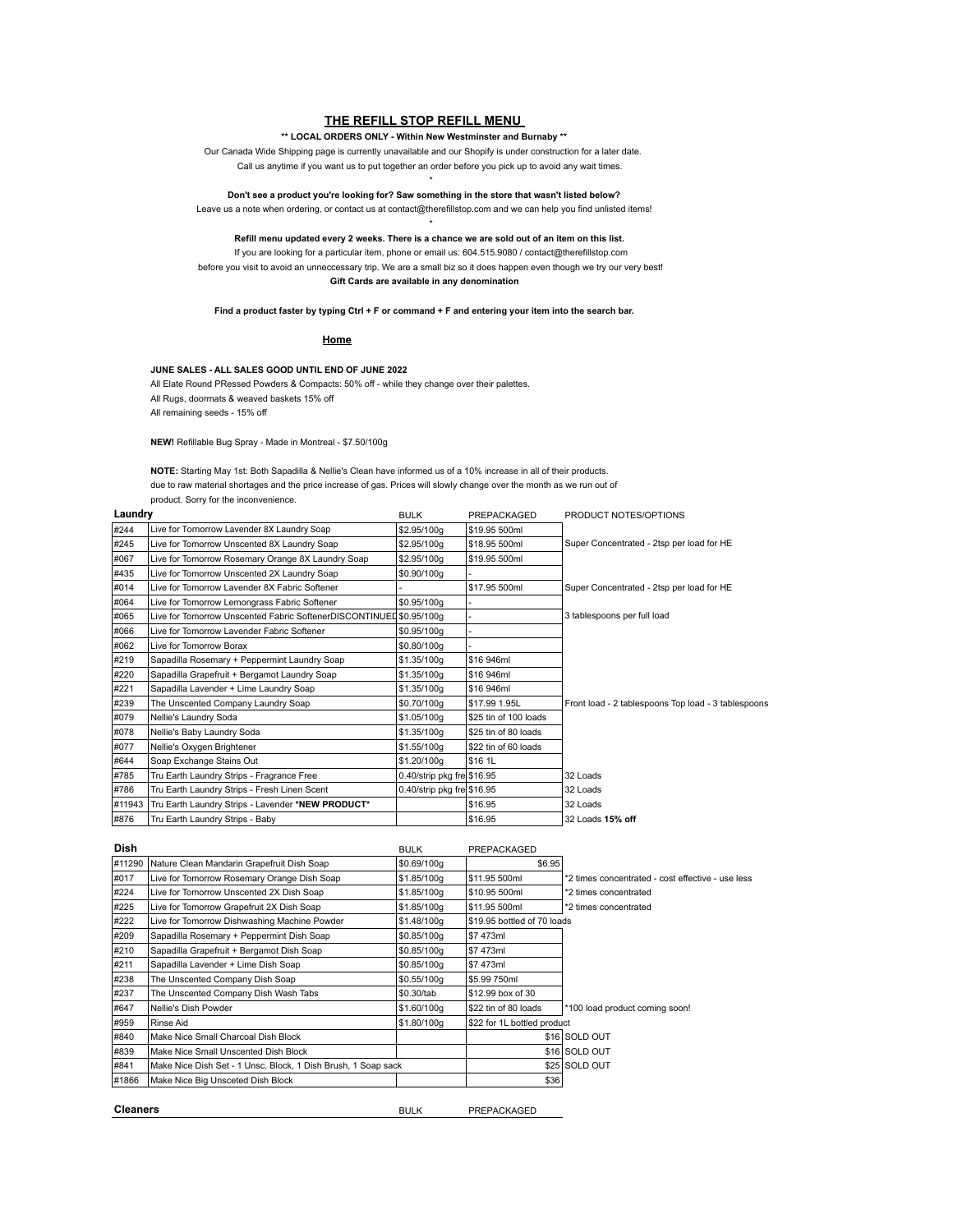## **THE REFILL STOP REFILL MENU**

#### **\*\* LOCAL ORDERS ONLY - Within New Westminster and Burnaby \*\***

Our Canada Wide Shipping page is currently unavailable and our Shopify is under construction for a later date. Call us anytime if you want us to put together an order before you pick up to avoid any wait times.

\* **Don't see a product you're looking for? Saw something in the store that wasn't listed below?**

Leave us a note when ordering, or contact us at contact@therefillstop.com and we can help you find unlisted items!

\* **Refill menu updated every 2 weeks. There is a chance we are sold out of an item on this list.** 

If you are looking for a particular item, phone or email us: 604.515.9080 / contact@therefillstop.com before you visit to avoid an unneccessary trip. We are a small biz so it does happen even though we try our very best! **Gift Cards are available in any denomination**

**Find a product faster by typing Ctrl + F or command + F and entering your item into the search bar.**

#### **Home**

**JUNE SALES - ALL SALES GOOD UNTIL END OF JUNE 2022** All Elate Round PRessed Powders & Compacts: 50% off - while they change over their palettes. All Rugs, doormats & weaved baskets 15% off All remaining seeds - 15% off

**NEW!** Refillable Bug Spray - Made in Montreal - \$7.50/100g

**NOTE:** Starting May 1st: Both Sapadilla & Nellie's Clean have informed us of a 10% increase in all of their products. due to raw material shortages and the price increase of gas. Prices will slowly change over the month as we run out of product. Sorry for the inconvenience.

| Laundry |                                                                     | <b>BULK</b>                | PREPACKAGED           | PRODUCT NOTES/OPTIONS                               |
|---------|---------------------------------------------------------------------|----------------------------|-----------------------|-----------------------------------------------------|
| #244    | Live for Tomorrow Lavender 8X Laundry Soap                          | \$2.95/100a                | \$19.95 500ml         |                                                     |
| #245    | Live for Tomorrow Unscented 8X Laundry Soap                         | S2.95/100a                 | \$18.95 500ml         | Super Concentrated - 2tsp per load for HE           |
| #067    | Live for Tomorrow Rosemary Orange 8X Laundry Soap                   | \$2.95/100g                | \$19.95 500ml         |                                                     |
| #435    | Live for Tomorrow Unscented 2X Laundry Soap                         | \$0.90/100g                |                       |                                                     |
| #014    | Live for Tomorrow Lavender 8X Fabric Softener                       |                            | \$17.95 500ml         | Super Concentrated - 2tsp per load for HE           |
| #064    | Live for Tomorrow Lemongrass Fabric Softener                        | \$0.95/100g                |                       |                                                     |
| #065    | Live for Tomorrow Unscented Fabric SoftenerDISCONTINUED \$0.95/100g |                            |                       | 3 tablespoons per full load                         |
| #066    | Live for Tomorrow Lavender Fabric Softener                          | \$0.95/100g                |                       |                                                     |
| #062    | Live for Tomorrow Borax                                             | \$0.80/100g                |                       |                                                     |
| #219    | Sapadilla Rosemary + Peppermint Laundry Soap                        | \$1.35/100g                | \$16 946ml            |                                                     |
| #220    | Sapadilla Grapefruit + Bergamot Laundry Soap                        | \$1.35/100g                | \$16 946ml            |                                                     |
| #221    | Sapadilla Lavender + Lime Laundry Soap                              | \$1.35/100g                | \$16 946ml            |                                                     |
| #239    | The Unscented Company Laundry Soap                                  | \$0.70/100g                | \$17.99 1.95L         | Front load - 2 tablespoons Top load - 3 tablespoons |
| #079    | Nellie's Laundry Soda                                               | \$1.05/100g                | \$25 tin of 100 loads |                                                     |
| #078    | Nellie's Baby Laundry Soda                                          | \$1.35/100g                | \$25 tin of 80 loads  |                                                     |
| #077    | Nellie's Oxygen Brightener                                          | \$1.55/100g                | \$22 tin of 60 loads  |                                                     |
| #644    | Soap Exchange Stains Out                                            | \$1.20/100g                | \$16 1L               |                                                     |
| #785    | Tru Earth Laundry Strips - Fragrance Free                           | 0.40/strip pkg fre \$16.95 |                       | 32 Loads                                            |
| #786    | Tru Earth Laundry Strips - Fresh Linen Scent                        | 0.40/strip pkg fre \$16.95 |                       | 32 Loads                                            |
| #11943  | Tru Earth Laundry Strips - Lavender *NEW PRODUCT*                   |                            | \$16.95               | 32 Loads                                            |
| #876    | Tru Earth Laundry Strips - Baby                                     |                            | \$16.95               | 32 Loads 15% off                                    |
|         |                                                                     |                            |                       |                                                     |

| <b>Dish</b> |                                                               | <b>BULK</b> | PREPACKAGED                 |                                                   |
|-------------|---------------------------------------------------------------|-------------|-----------------------------|---------------------------------------------------|
| #11290      | Nature Clean Mandarin Grapefruit Dish Soap                    | \$0.69/100g | \$6.95                      |                                                   |
| #017        | Live for Tomorrow Rosemary Orange Dish Soap                   | \$1.85/100g | \$11.95 500ml               | *2 times concentrated - cost effective - use less |
| #224        | Live for Tomorrow Unscented 2X Dish Soap                      | \$1.85/100g | \$10.95 500ml               | *2 times concentrated                             |
| #225        | Live for Tomorrow Grapefruit 2X Dish Soap                     | \$1.85/100g | \$11.95 500ml               | *2 times concentrated                             |
| #222        | Live for Tomorrow Dishwashing Machine Powder                  | \$1.48/100g | \$19.95 bottled of 70 loads |                                                   |
| #209        | Sapadilla Rosemary + Peppermint Dish Soap                     | \$0.85/100g | \$7 473ml                   |                                                   |
| #210        | Sapadilla Grapefruit + Bergamot Dish Soap                     | \$0.85/100g | \$7 473ml                   |                                                   |
| #211        | Sapadilla Lavender + Lime Dish Soap                           | \$0.85/100g | \$7 473ml                   |                                                   |
| #238        | The Unscented Company Dish Soap                               | \$0.55/100g | \$5.99 750ml                |                                                   |
| #237        | The Unscented Company Dish Wash Tabs                          | \$0.30/tab  | \$12.99 box of 30           |                                                   |
| #647        | Nellie's Dish Powder                                          | \$1.60/100g | \$22 tin of 80 loads        | *100 load product coming soon!                    |
| #959        | Rinse Aid                                                     | \$1,80/100g | \$22 for 1L bottled product |                                                   |
| #840        | Make Nice Small Charcoal Dish Block                           |             |                             | \$16 SOLD OUT                                     |
| #839        | Make Nice Small Unscented Dish Block                          |             |                             | \$16 SOLD OUT                                     |
| #841        | Make Nice Dish Set - 1 Unsc. Block, 1 Dish Brush, 1 Soap sack |             |                             | \$25 SOLD OUT                                     |
| #1866       | Make Nice Big Unsceted Dish Block                             |             | \$36                        |                                                   |
|             |                                                               |             |                             |                                                   |

| <b>Cleaners</b><br>. | <b>BULK</b> | PREPACKAGED |
|----------------------|-------------|-------------|
|----------------------|-------------|-------------|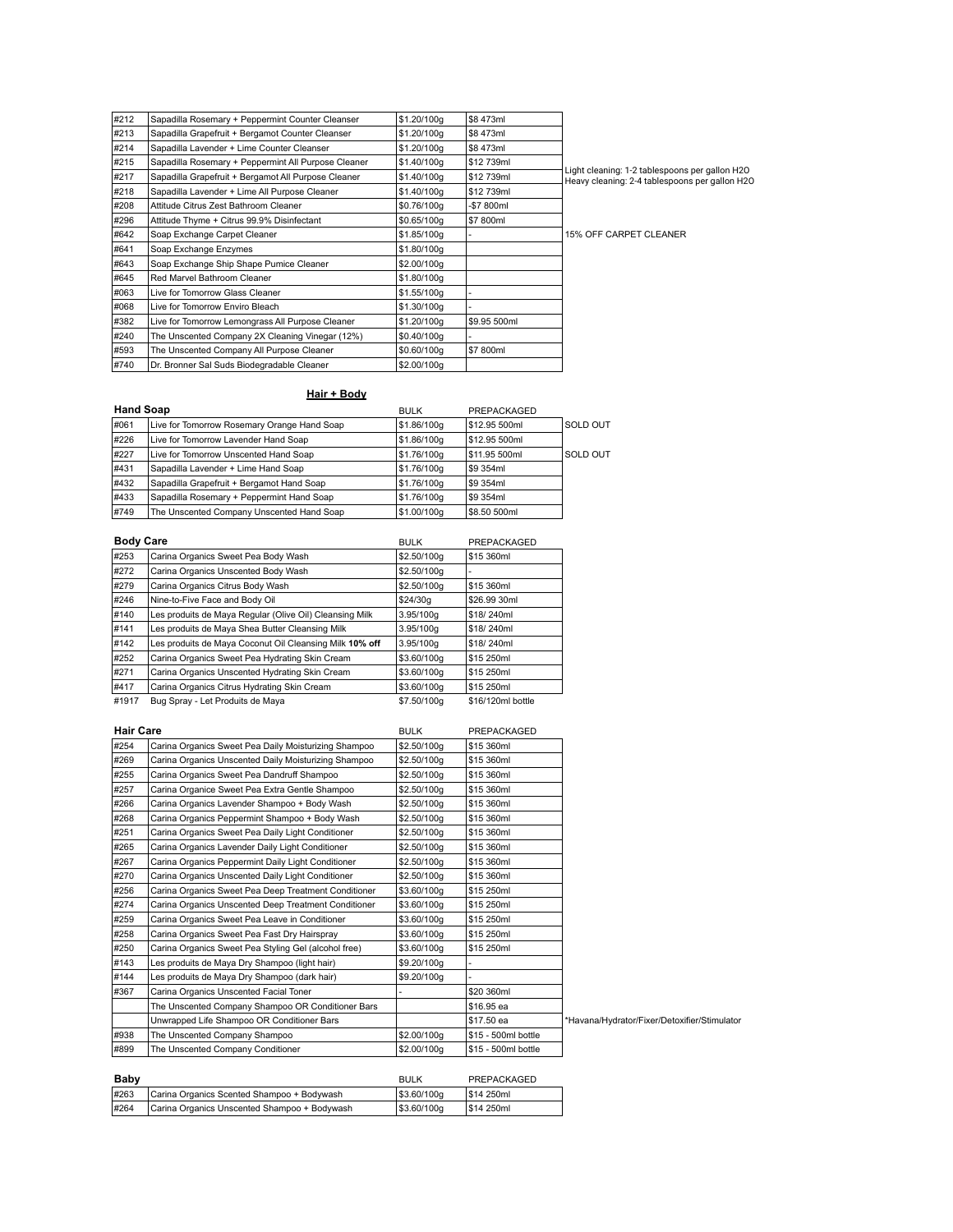| #212 | Sapadilla Rosemary + Peppermint Counter Cleanser    | \$1.20/100g | \$8473ml     |                                                                                                  |
|------|-----------------------------------------------------|-------------|--------------|--------------------------------------------------------------------------------------------------|
| #213 | Sapadilla Grapefruit + Bergamot Counter Cleanser    | \$1.20/100g | \$8473ml     |                                                                                                  |
| #214 | Sapadilla Lavender + Lime Counter Cleanser          | \$1.20/100g | \$8473ml     |                                                                                                  |
| #215 | Sapadilla Rosemary + Peppermint All Purpose Cleaner | \$1.40/100g | \$12739ml    |                                                                                                  |
| #217 | Sapadilla Grapefruit + Bergamot All Purpose Cleaner | \$1.40/100g | \$12739ml    | Light cleaning: 1-2 tablespoons per gallon H2O<br>Heavy cleaning: 2-4 tablespoons per gallon H2O |
| #218 | Sapadilla Lavender + Lime All Purpose Cleaner       | \$1.40/100g | \$12739ml    |                                                                                                  |
| #208 | Attitude Citrus Zest Bathroom Cleaner               | \$0.76/100g | -\$7 800ml   |                                                                                                  |
| #296 | Attitude Thyme + Citrus 99.9% Disinfectant          | \$0.65/100g | \$7 800ml    |                                                                                                  |
| #642 | Soap Exchange Carpet Cleaner                        | \$1.85/100g |              | 15% OFF CARPET CLEANER                                                                           |
| #641 | Soap Exchange Enzymes                               | \$1,80/100g |              |                                                                                                  |
| #643 | Soap Exchange Ship Shape Pumice Cleaner             | \$2.00/100g |              |                                                                                                  |
| #645 | Red Marvel Bathroom Cleaner                         | \$1.80/100g |              |                                                                                                  |
| #063 | Live for Tomorrow Glass Cleaner                     | \$1.55/100g |              |                                                                                                  |
| #068 | Live for Tomorrow Enviro Bleach                     | \$1.30/100g |              |                                                                                                  |
| #382 | Live for Tomorrow Lemongrass All Purpose Cleaner    | \$1.20/100g | \$9.95 500ml |                                                                                                  |
| #240 | The Unscented Company 2X Cleaning Vinegar (12%)     | \$0.40/100g |              |                                                                                                  |
| #593 | The Unscented Company All Purpose Cleaner           | \$0.60/100g | \$7 800ml    |                                                                                                  |
| #740 | Dr. Bronner Sal Suds Biodegradable Cleaner          | \$2.00/100g |              |                                                                                                  |

**Hair + Body**

| <b>Hand Soap</b> |                                             | <b>BULK</b> | PREPACKAGED   |          |
|------------------|---------------------------------------------|-------------|---------------|----------|
| #061             | Live for Tomorrow Rosemary Orange Hand Soap | \$1.86/100a | \$12.95 500ml | SOLD OUT |
| #226             | Live for Tomorrow Lavender Hand Soap        | \$1.86/100g | \$12.95 500ml |          |
| #227             | Live for Tomorrow Unscented Hand Soap       | S1.76/100a  | \$11.95 500ml | SOLD OUT |
| #431             | Sapadilla Lavender + Lime Hand Soap         | \$1.76/100g | S9 354ml      |          |
| #432             | Sapadilla Grapefruit + Bergamot Hand Soap   | \$1.76/100a | S9 354ml      |          |
| #433             | Sapadilla Rosemary + Peppermint Hand Soap   | \$1.76/100a | S9 354ml      |          |
| #749             | The Unscented Company Unscented Hand Soap   | \$1.00/100g | \$8.50 500ml  |          |

| <b>Body Care</b> |                                                         | <b>BULK</b> | PREPACKAGED       |
|------------------|---------------------------------------------------------|-------------|-------------------|
| #253             | Carina Organics Sweet Pea Body Wash                     | \$2.50/100g | \$15 360ml        |
| #272             | Carina Organics Unscented Body Wash                     | \$2.50/100g |                   |
| #279             | Carina Organics Citrus Body Wash                        | \$2,50/100a | \$15 360ml        |
| #246             | Nine-to-Five Face and Body Oil                          | \$24/30a    | \$26.99 30ml      |
| #140             | Les produits de Maya Regular (Olive Oil) Cleansing Milk | 3.95/100g   | \$18/240ml        |
| #141             | Les produits de Maya Shea Butter Cleansing Milk         | 3.95/100a   | \$18/240ml        |
| #142             | Les produits de Maya Coconut Oil Cleansing Milk 10% off | 3.95/100g   | \$18/240ml        |
| #252             | Carina Organics Sweet Pea Hydrating Skin Cream          | \$3.60/100g | \$15 250ml        |
| #271             | Carina Organics Unscented Hydrating Skin Cream          | \$3.60/100g | \$15 250ml        |
| #417             | Carina Organics Citrus Hydrating Skin Cream             | \$3.60/100g | \$15 250ml        |
| #1917            | Bug Spray - Let Produits de Maya                        | \$7.50/100g | \$16/120ml bottle |

| Hair Care |                                                      | <b>BULK</b> | PREPACKAGED         |     |
|-----------|------------------------------------------------------|-------------|---------------------|-----|
| #254      | Carina Organics Sweet Pea Daily Moisturizing Shampoo | \$2.50/100g | \$15 360ml          |     |
| #269      | Carina Organics Unscented Daily Moisturizing Shampoo | \$2.50/100g | \$15 360ml          |     |
| #255      | Carina Organics Sweet Pea Dandruff Shampoo           | \$2.50/100g | \$15 360ml          |     |
| #257      | Carina Organice Sweet Pea Extra Gentle Shampoo       | \$2.50/100g | \$15 360ml          |     |
| #266      | Carina Organics Lavender Shampoo + Body Wash         | \$2.50/100g | \$15 360ml          |     |
| #268      | Carina Organics Peppermint Shampoo + Body Wash       | \$2.50/100g | \$15 360ml          |     |
| #251      | Carina Organics Sweet Pea Daily Light Conditioner    | \$2.50/100g | \$15 360ml          |     |
| #265      | Carina Organics Lavender Daily Light Conditioner     | \$2.50/100g | \$15 360ml          |     |
| #267      | Carina Organics Peppermint Daily Light Conditioner   | \$2.50/100g | \$15 360ml          |     |
| #270      | Carina Organics Unscented Daily Light Conditioner    | \$2.50/100g | \$15 360ml          |     |
| #256      | Carina Organics Sweet Pea Deep Treatment Conditioner | \$3.60/100g | \$15 250ml          |     |
| #274      | Carina Organics Unscented Deep Treatment Conditioner | \$3.60/100g | \$15 250ml          |     |
| #259      | Carina Organics Sweet Pea Leave in Conditioner       | \$3.60/100g | \$15 250ml          |     |
| #258      | Carina Organics Sweet Pea Fast Dry Hairspray         | \$3.60/100g | \$15 250ml          |     |
| #250      | Carina Organics Sweet Pea Styling Gel (alcohol free) | \$3.60/100g | \$15 250ml          |     |
| #143      | Les produits de Maya Dry Shampoo (light hair)        | \$9.20/100g |                     |     |
| #144      | Les produits de Maya Dry Shampoo (dark hair)         | \$9.20/100g |                     |     |
| #367      | Carina Organics Unscented Facial Toner               |             | \$20 360ml          |     |
|           | The Unscented Company Shampoo OR Conditioner Bars    |             | \$16.95 ea          |     |
|           | Unwrapped Life Shampoo OR Conditioner Bars           |             | \$17.50 ea          | *Ha |
| #938      | The Unscented Company Shampoo                        | \$2.00/100g | \$15 - 500ml bottle |     |
| #899      | The Unscented Company Conditioner                    | \$2.00/100g | \$15 - 500ml bottle |     |

avana/Hydrator/Fixer/Detoxifier/Stimulator

| Baby |                                              | <b>BULK</b> | PREPACKAGED |
|------|----------------------------------------------|-------------|-------------|
| #263 | Carina Organics Scented Shampoo + Bodywash   | S3.60/100a  | S14 250ml   |
| #264 | Carina Organics Unscented Shampoo + Bodywash | \$3,60/100g | S14 250ml   |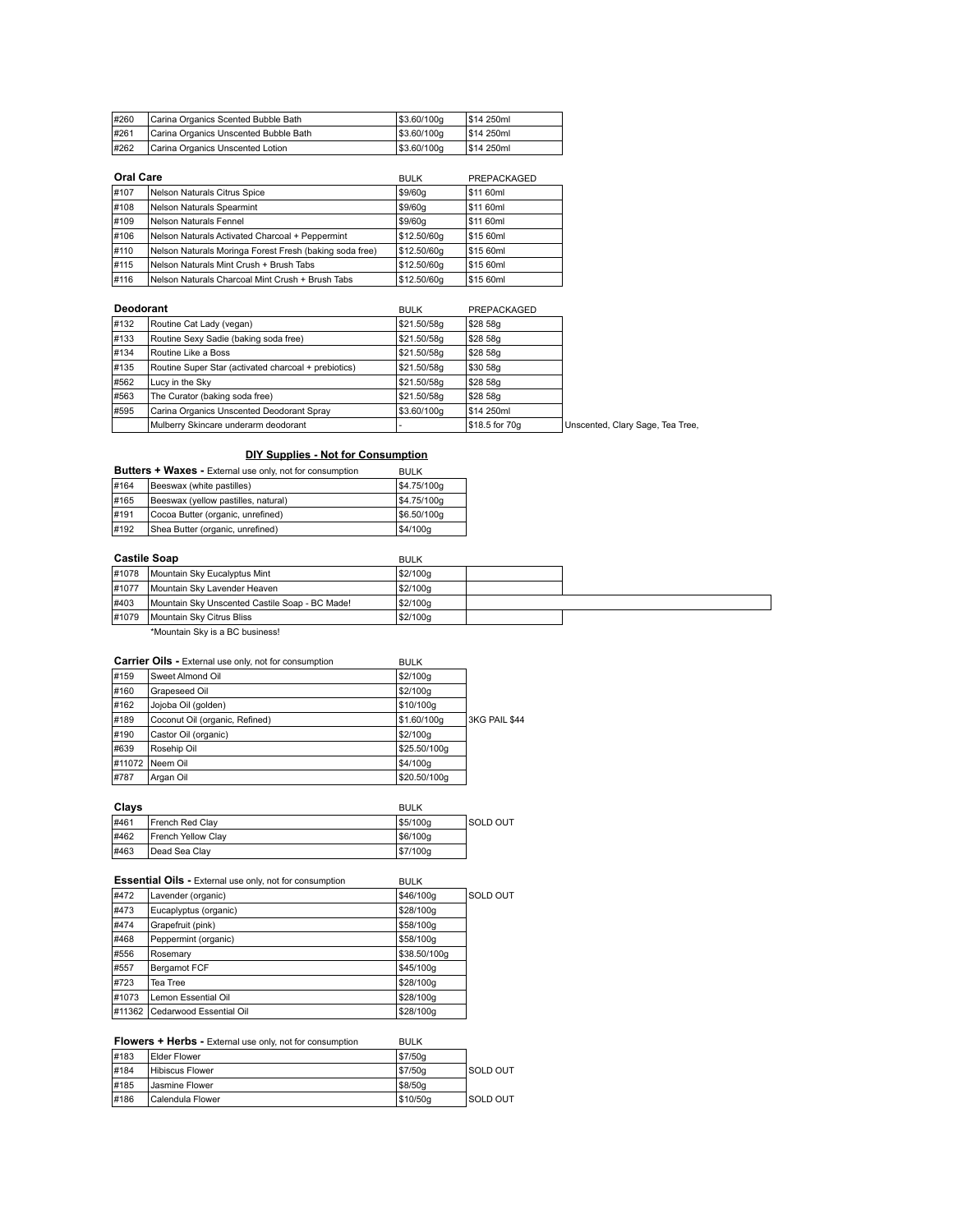| #260 | Carina Organics Scented Bubble Bath   | \$3.60/100g | S14 250ml |
|------|---------------------------------------|-------------|-----------|
| #261 | Carina Organics Unscented Bubble Bath | \$3,60/100g | S14 250ml |
| #262 | Carina Organics Unscented Lotion      | \$3,60/100g | S14 250ml |

| <b>Oral Care</b> |                                                         | <b>BULK</b> | PREPACKAGED |
|------------------|---------------------------------------------------------|-------------|-------------|
| #107             | Nelson Naturals Citrus Spice                            | \$9/60g     | S11 60ml    |
| #108             | Nelson Naturals Spearmint                               | \$9/60g     | S11 60ml    |
| #109             | Nelson Naturals Fennel                                  | \$9/60g     | S11 60ml    |
| #106             | Nelson Naturals Activated Charcoal + Peppermint         | \$12.50/60g | S15 60ml    |
| #110             | Nelson Naturals Moringa Forest Fresh (baking soda free) | \$12.50/60g | S15 60ml    |
| #115             | Nelson Naturals Mint Crush + Brush Tabs                 | \$12.50/60g | S15 60ml    |
| #116             | Nelson Naturals Charcoal Mint Crush + Brush Tabs        | \$12,50/60a | S15 60ml    |

| <b>Deodorant</b> |                                                      | <b>BULK</b> | PREPACKAGED    |                                  |
|------------------|------------------------------------------------------|-------------|----------------|----------------------------------|
| #132             | Routine Cat Lady (vegan)                             | \$21.50/58g | \$28 58g       |                                  |
| #133             | Routine Sexy Sadie (baking soda free)                | \$21.50/58g | \$28 58g       |                                  |
| #134             | Routine Like a Boss                                  | \$21.50/58g | \$28 58g       |                                  |
| #135             | Routine Super Star (activated charcoal + prebiotics) | \$21.50/58g | \$30 58g       |                                  |
| #562             | Lucy in the Sky                                      | \$21.50/58g | \$28 58g       |                                  |
| #563             | The Curator (baking soda free)                       | \$21.50/58g | \$28 58g       |                                  |
| #595             | Carina Organics Unscented Deodorant Spray            | \$3.60/100g | S14 250ml      |                                  |
|                  | Mulberry Skincare underarm deodorant                 |             | \$18.5 for 70g | Unscented, Clary Sage, Tea Tree, |

## **DIY Supplies - Not for Consumption**

|                     | Butters + Waxes - External use only, not for consumption | <b>BULK</b> |  |
|---------------------|----------------------------------------------------------|-------------|--|
| #164                | Beeswax (white pastilles)                                | \$4.75/100g |  |
| #165                | Beeswax (yellow pastilles, natural)                      | \$4.75/100g |  |
| #191                | Cocoa Butter (organic, unrefined)                        | \$6.50/100g |  |
| #192                | Shea Butter (organic, unrefined)                         | \$4/100g    |  |
|                     |                                                          |             |  |
| <b>Castile Soap</b> |                                                          | <b>BULK</b> |  |
| #1078               | Mountain Sky Eucalyptus Mint                             | \$2/100g    |  |
| #1077               | Mountain Sky Lavender Heaven                             | \$2/100g    |  |

| #1078 | Mountain Sky Eucalyptus Mint                   | \$2/100a |  |
|-------|------------------------------------------------|----------|--|
| #1077 | Mountain Sky Lavender Heaven                   | \$2/100a |  |
| #403  | Mountain Sky Unscented Castile Soap - BC Made! | \$2/100g |  |
| #1079 | Mountain Sky Citrus Bliss                      | \$2/100a |  |
|       | M                                              |          |  |

\*Mountain Sky is a BC business!

|        | <b>Carrier Oils - External use only, not for consumption</b><br><b>BULK</b> |              |               |
|--------|-----------------------------------------------------------------------------|--------------|---------------|
| #159   | Sweet Almond Oil                                                            | \$2/100g     |               |
| #160   | Grapeseed Oil                                                               | \$2/100g     |               |
| #162   | Jojoba Oil (golden)                                                         | \$10/100g    |               |
| #189   | Coconut Oil (organic, Refined)                                              | \$1.60/100g  | 3KG PAIL \$44 |
| #190   | Castor Oil (organic)                                                        | \$2/100g     |               |
| #639   | Rosehip Oil                                                                 | \$25.50/100g |               |
| #11072 | Neem Oil                                                                    | \$4/100g     |               |
| #787   | Argan Oil                                                                   | \$20,50/100g |               |

| Clavs |                    | <b>BULK</b> |                 |
|-------|--------------------|-------------|-----------------|
| #461  | French Red Clay    | \$5/100g    | <b>SOLD OUT</b> |
| #462  | French Yellow Clay | \$6/100a    |                 |
| #463  | Dead Sea Clay      | \$7/100a    |                 |

|        | <b>Essential Oils - External use only, not for consumption</b> | <b>BULK</b>  |          |
|--------|----------------------------------------------------------------|--------------|----------|
| #472   | Lavender (organic)                                             | \$46/100g    | SOLD OUT |
| #473   | Eucaplyptus (organic)                                          | \$28/100g    |          |
| #474   | Grapefruit (pink)                                              | \$58/100g    |          |
| #468   | Peppermint (organic)                                           | \$58/100g    |          |
| #556   | Rosemary                                                       | \$38.50/100g |          |
| #557   | Bergamot FCF                                                   | \$45/100g    |          |
| #723   | Tea Tree                                                       | \$28/100g    |          |
| #1073  | Lemon Essential Oil                                            | \$28/100g    |          |
| #11362 | Cedarwood Essential Oil                                        | \$28/100g    |          |

# **Flowers + Herbs -** External use only, not for consumption BULK

| #183 | Elder Flower       | \$7/50a |                 |
|------|--------------------|---------|-----------------|
| #184 | Hibiscus Flower    | \$7/50a | <b>SOLD OUT</b> |
| #185 | Jasmine Flower     | \$8/50a |                 |
| #186 | l Calendula Flower | S10/50a | <b>SOLD OUT</b> |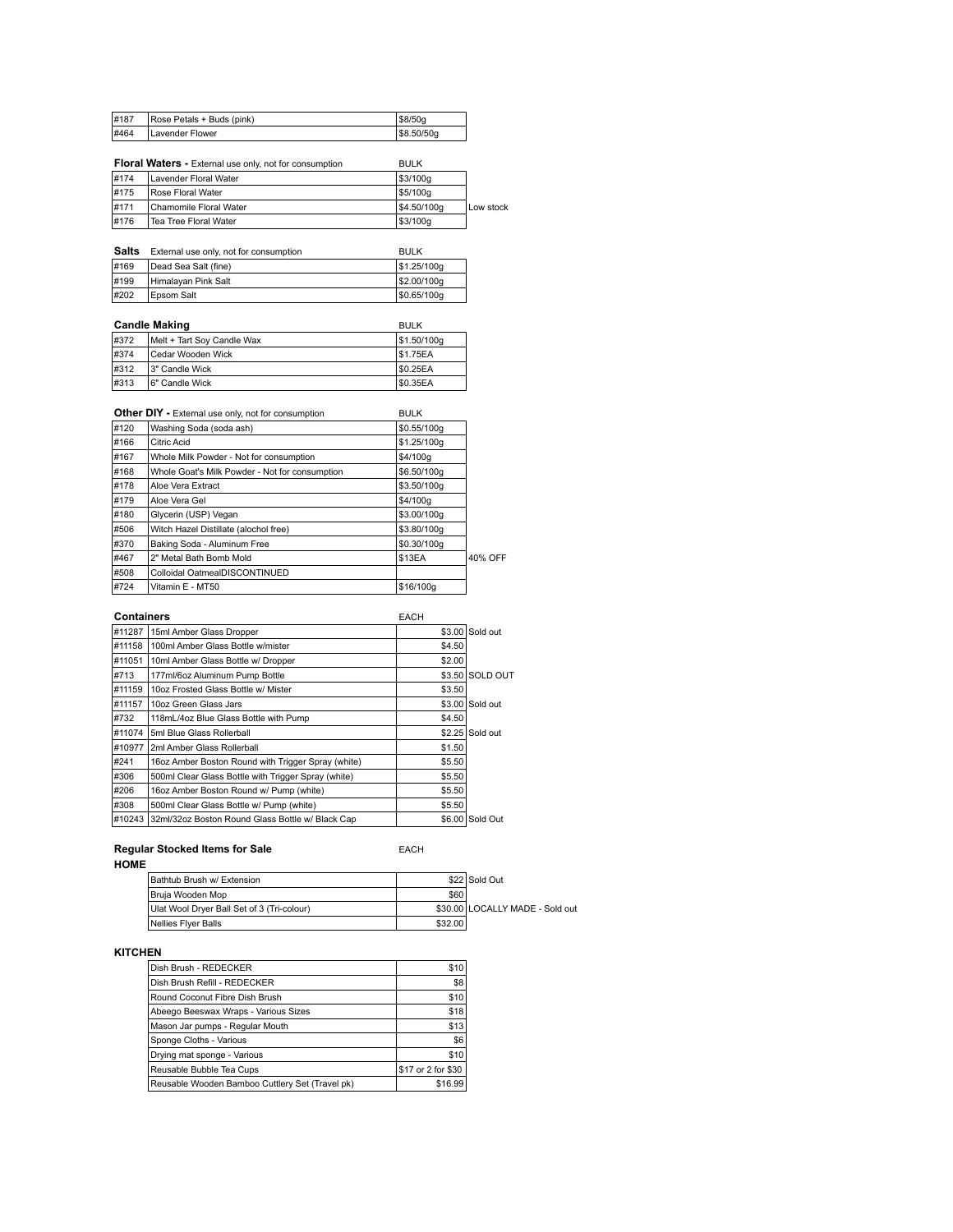| #187  | Rose Petals + Buds (pink)                                 | \$8/50g     |           |
|-------|-----------------------------------------------------------|-------------|-----------|
| #464  | Lavender Flower                                           | \$8.50/50g  |           |
|       |                                                           |             |           |
|       | Floral Waters - External use only, not for consumption    | <b>BULK</b> |           |
| #174  | Lavender Floral Water                                     | \$3/100g    |           |
| #175  | Rose Floral Water                                         | \$5/100g    |           |
| #171  | Chamomile Floral Water                                    | \$4.50/100g | Low stock |
| #176  | Tea Tree Floral Water                                     | \$3/100g    |           |
|       |                                                           |             |           |
| Salts | External use only, not for consumption                    | <b>BULK</b> |           |
| #169  | Dead Sea Salt (fine)                                      | \$1.25/100g |           |
| #199  | Himalayan Pink Salt                                       | \$2.00/100g |           |
| #202  | Epsom Salt                                                | \$0.65/100g |           |
|       |                                                           |             |           |
|       | <b>Candle Making</b>                                      | <b>BULK</b> |           |
| #372  | Melt + Tart Soy Candle Wax                                | \$1.50/100g |           |
| #374  | Cedar Wooden Wick                                         | \$1.75EA    |           |
| #312  | 3" Candle Wick                                            | \$0.25EA    |           |
| #313  | 6" Candle Wick                                            | \$0.35EA    |           |
|       |                                                           |             |           |
|       | <b>Other DIY</b> - External use only, not for consumption | <b>BULK</b> |           |
| #120  | Washing Soda (soda ash)                                   | \$0.55/100g |           |
| #166  | Citric Acid                                               | \$1.25/100g |           |
| #167  | Whole Milk Powder - Not for consumption                   | \$4/100g    |           |
| #168  | Whole Goat's Milk Powder - Not for consumption            | \$6.50/100g |           |
| #178  | Aloe Vera Extract                                         | \$3.50/100g |           |
| #179  | Aloe Vera Gel                                             | \$4/100g    |           |
| #180  | Glycerin (USP) Vegan                                      | \$3.00/100g |           |
| #506  | Witch Hazel Distillate (alochol free)                     | \$3.80/100g |           |
| #370  | Baking Soda - Aluminum Free                               | \$0.30/100g |           |
| #467  | 2" Metal Bath Bomb Mold                                   | \$13EA      | 40% OFF   |
| #508  | Colloidal OatmealDISCONTINUED                             |             |           |
| #724  | Vitamin E - MT50                                          | \$16/100g   |           |

| Containers |                                                     | EACH   |                 |
|------------|-----------------------------------------------------|--------|-----------------|
| #11287     | 15ml Amber Glass Dropper                            |        | \$3.00 Sold out |
| #11158     | 100ml Amber Glass Bottle w/mister                   | \$4.50 |                 |
| #11051     | 10ml Amber Glass Bottle w/ Dropper                  | \$2.00 |                 |
| #713       | 177ml/6oz Aluminum Pump Bottle                      |        | \$3.50 SOLD OUT |
| #11159     | 10oz Frosted Glass Bottle w/ Mister                 | \$3.50 |                 |
| #11157     | 10oz Green Glass Jars                               |        | \$3.00 Sold out |
| #732       | 118mL/4oz Blue Glass Bottle with Pump               | \$4.50 |                 |
| #11074     | 5ml Blue Glass Rollerball                           |        | \$2.25 Sold out |
| #10977     | 2ml Amber Glass Rollerball                          | \$1.50 |                 |
| #241       | 16oz Amber Boston Round with Trigger Spray (white)  | \$5.50 |                 |
| #306       | 500ml Clear Glass Bottle with Trigger Spray (white) | \$5.50 |                 |
| #206       | 16oz Amber Boston Round w/ Pump (white)             | \$5.50 |                 |
| #308       | 500ml Clear Glass Bottle w/ Pump (white)            | \$5.50 |                 |
| #10243     | 32ml/32oz Boston Round Glass Bottle w/ Black Cap    |        | \$6,00 Sold Out |

# **Regular Stocked Items for Sale** EACH

**HOME**

| Bathtub Brush w/ Extension                 |         | \$22 Sold Out                   |
|--------------------------------------------|---------|---------------------------------|
| Bruja Wooden Mop                           | \$60    |                                 |
| Ulat Wool Dryer Ball Set of 3 (Tri-colour) |         | \$30.00 LOCALLY MADE - Sold out |
| <b>Nellies Flyer Balls</b>                 | \$32,00 |                                 |

## **KITCHEN**

| Dish Brush - REDECKER                           | \$10               |
|-------------------------------------------------|--------------------|
| Dish Brush Refill - REDECKER                    | \$8                |
| Round Coconut Fibre Dish Brush                  | \$10               |
| Abeego Beeswax Wraps - Various Sizes            | \$18               |
| Mason Jar pumps - Regular Mouth                 | \$13               |
| Sponge Cloths - Various                         | \$6                |
| Drying mat sponge - Various                     | \$10               |
| Reusable Bubble Tea Cups                        | \$17 or 2 for \$30 |
| Reusable Wooden Bamboo Cuttlery Set (Travel pk) | \$16.99            |